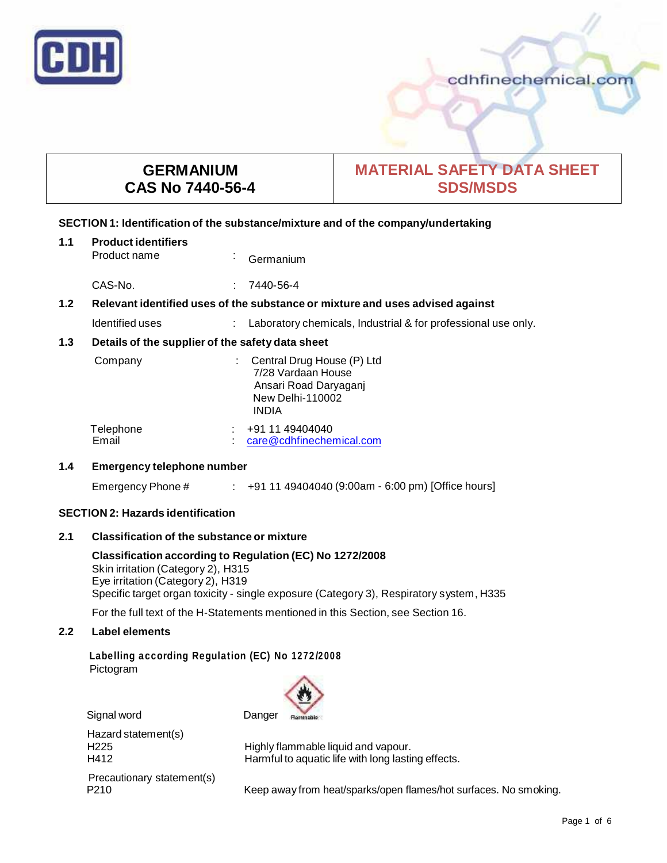

# cdhfinechemical.com

# **GERMANIUM CAS No 7440-56-4**

# **MATERIAL SAFETY DATA SHEET SDS/MSDS**

# **SECTION 1: Identification of the substance/mixture and of the company/undertaking**

| 1.1                                                     | <b>Product identifiers</b><br>Product name                                    |    | Germanium                                                                                                              |
|---------------------------------------------------------|-------------------------------------------------------------------------------|----|------------------------------------------------------------------------------------------------------------------------|
|                                                         | CAS-No.                                                                       |    | 7440-56-4                                                                                                              |
| $1.2$                                                   | Relevant identified uses of the substance or mixture and uses advised against |    |                                                                                                                        |
|                                                         | Identified uses                                                               | ÷. | Laboratory chemicals, Industrial & for professional use only.                                                          |
| 1.3<br>Details of the supplier of the safety data sheet |                                                                               |    |                                                                                                                        |
|                                                         | Company                                                                       |    | : Central Drug House (P) Ltd<br>7/28 Vardaan House<br>Ansari Road Daryaganj<br><b>New Delhi-110002</b><br><b>INDIA</b> |
|                                                         | Telephone<br>Email                                                            |    | +91 11 49404040<br>care@cdhfinechemical.com                                                                            |
| 1.4                                                     | <b>Emergency telephone number</b>                                             |    |                                                                                                                        |
|                                                         | Emergency Phone #                                                             |    | $\pm$ +91 11 49404040 (9:00am - 6:00 pm) [Office hours]                                                                |
|                                                         |                                                                               |    |                                                                                                                        |

# **SECTION 2: Hazards identification**

# **2.1 Classification of the substance ormixture**

**Classification according to Regulation (EC) No 1272/2008** Skin irritation (Category 2), H315 Eye irritation (Category 2), H319 Specific target organ toxicity - single exposure (Category 3), Respiratory system, H335

For the full text of the H-Statements mentioned in this Section, see Section 16.

# **2.2 Label elements**

# **Labelling according Regulation (EC) No 1272/2008** Pictogram



Hazard statement(s) Precautionary statement(s)<br>P210

H225 Highly flammable liquid and vapour.<br>H412 Harmful to aquatic life with long lastin Harmful to aquatic life with long lasting effects.

Keep away from heat/sparks/open flames/hot surfaces. No smoking.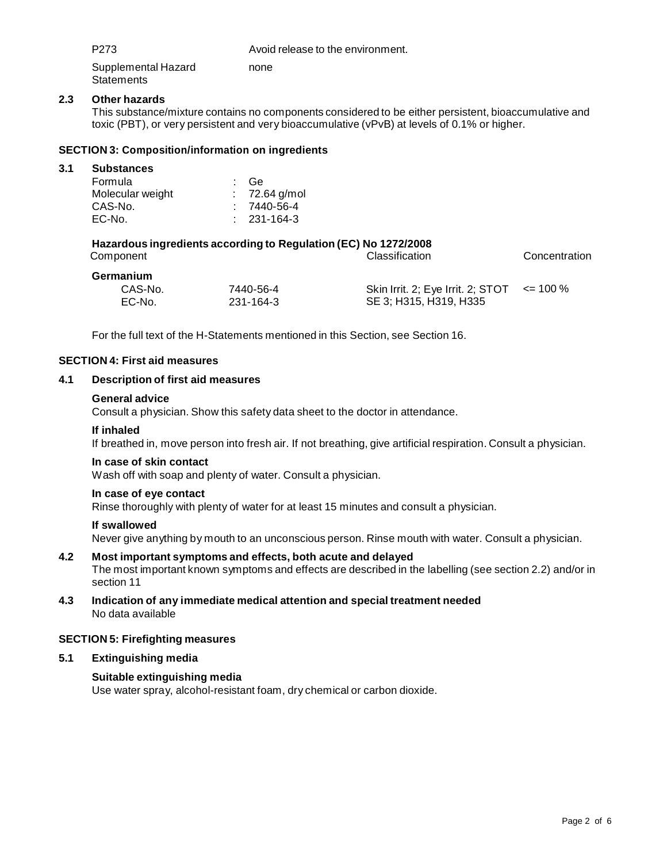P273 Avoid release to the environment.

Supplemental Hazard **Statements** none

# **2.3 Other hazards**

This substance/mixture contains no components considered to be either persistent, bioaccumulative and toxic (PBT), or very persistent and very bioaccumulative (vPvB) at levels of 0.1% or higher.

# **SECTION 3: Composition/information on ingredients**

EC-No. 231-164-3

| 3.1 | <b>Substances</b>                                                                                               |   |             |                                   |              |  |
|-----|-----------------------------------------------------------------------------------------------------------------|---|-------------|-----------------------------------|--------------|--|
|     | Formula                                                                                                         |   | Ge          |                                   |              |  |
|     | Molecular weight                                                                                                | ÷ | 72.64 g/mol |                                   |              |  |
|     | CAS-No.                                                                                                         |   | 7440-56-4   |                                   |              |  |
|     | EC-No.                                                                                                          |   | 231-164-3   |                                   |              |  |
|     | Hazardous ingredients according to Regulation (EC) No 1272/2008<br>Classification<br>Concentration<br>Component |   |             |                                   |              |  |
|     | Germanium                                                                                                       |   |             |                                   |              |  |
|     | CAS-No.                                                                                                         |   | 7440-56-4   | Skin Irrit. 2; Eye Irrit. 2; STOT | $\leq$ 100 % |  |

For the full text of the H-Statements mentioned in this Section, see Section 16.

## **SECTION 4: First aid measures**

### **4.1 Description of first aid measures**

#### **General advice**

Consult a physician. Show this safety data sheet to the doctor in attendance.

### **If inhaled**

If breathed in, move person into fresh air. If not breathing, give artificial respiration. Consult a physician.

SE 3; H315, H319, H335

#### **In case of skin contact**

Wash off with soap and plenty of water. Consult a physician.

#### **In case of eye contact**

Rinse thoroughly with plenty of water for at least 15 minutes and consult a physician.

#### **If swallowed**

Never give anything by mouth to an unconscious person. Rinse mouth with water. Consult a physician.

# **4.2 Most important symptoms and effects, both acute and delayed**

The most important known symptoms and effects are described in the labelling (see section 2.2) and/or in section 11

**4.3 Indication of any immediate medical attention and special treatment needed** No data available

# **SECTION 5: Firefighting measures**

# **5.1 Extinguishing media**

# **Suitable extinguishing media**

Use water spray, alcohol-resistant foam, dry chemical or carbon dioxide.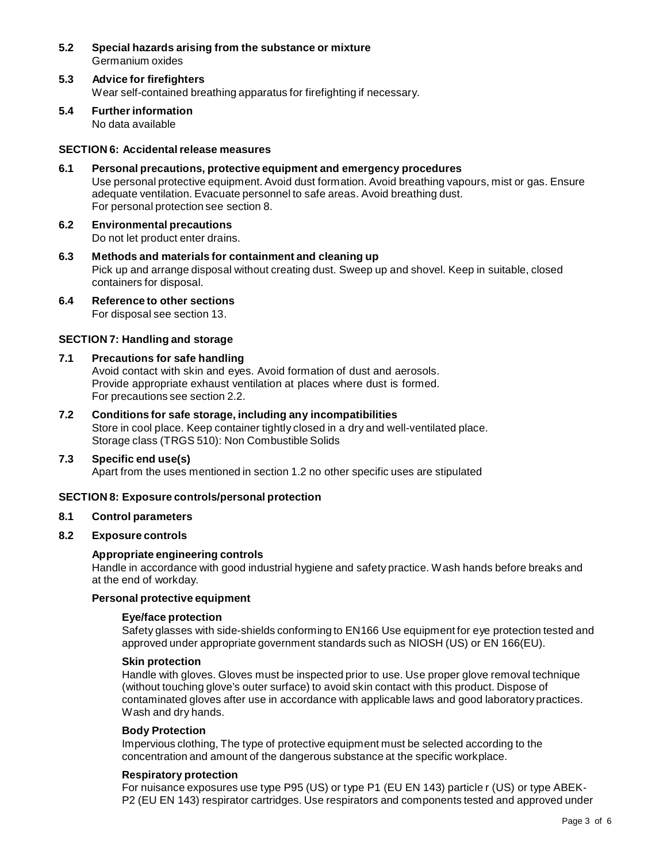- **5.2 Special hazards arising from the substance ormixture** Germanium oxides
- **5.3 Advice for firefighters** Wear self-contained breathing apparatus for firefighting if necessary.
- **5.4 Further information** No data available

# **SECTION 6: Accidentalrelease measures**

- **6.1 Personal precautions, protective equipment and emergency procedures** Use personal protective equipment. Avoid dust formation. Avoid breathing vapours, mist or gas. Ensure adequate ventilation. Evacuate personnel to safe areas. Avoid breathing dust. For personal protection see section 8.
- **6.2 Environmental precautions** Do not let product enter drains.
- **6.3 Methods and materials for containment and cleaning up** Pick up and arrange disposal without creating dust. Sweep up and shovel. Keep in suitable, closed containers for disposal.
- **6.4 Reference to other sections** For disposal see section 13.

# **SECTION 7: Handling and storage**

# **7.1 Precautions for safe handling**

Avoid contact with skin and eyes. Avoid formation of dust and aerosols. Provide appropriate exhaust ventilation at places where dust is formed. For precautions see section 2.2.

**7.2 Conditions for safe storage, including any incompatibilities** Store in cool place. Keep container tightly closed in a dry and well-ventilated place. Storage class (TRGS 510): Non Combustible Solids

# **7.3 Specific end use(s)**

Apart from the uses mentioned in section 1.2 no other specific uses are stipulated

# **SECTION 8: Exposure controls/personal protection**

# **8.1 Control parameters**

# **8.2 Exposure controls**

# **Appropriate engineering controls**

Handle in accordance with good industrial hygiene and safety practice. Wash hands before breaks and at the end of workday.

# **Personal protective equipment**

# **Eye/face protection**

Safety glasses with side-shields conforming to EN166 Use equipment for eye protection tested and approved under appropriate government standards such as NIOSH (US) or EN 166(EU).

#### **Skin protection**

Handle with gloves. Gloves must be inspected prior to use. Use proper glove removal technique (without touching glove's outer surface) to avoid skin contact with this product. Dispose of contaminated gloves after use in accordance with applicable laws and good laboratory practices. Wash and dry hands.

# **Body Protection**

Impervious clothing, The type of protective equipment must be selected according to the concentration and amount of the dangerous substance at the specific workplace.

# **Respiratory protection**

For nuisance exposures use type P95 (US) or type P1 (EU EN 143) particle r (US) or type ABEK- P2 (EU EN 143) respirator cartridges. Use respirators and components tested and approved under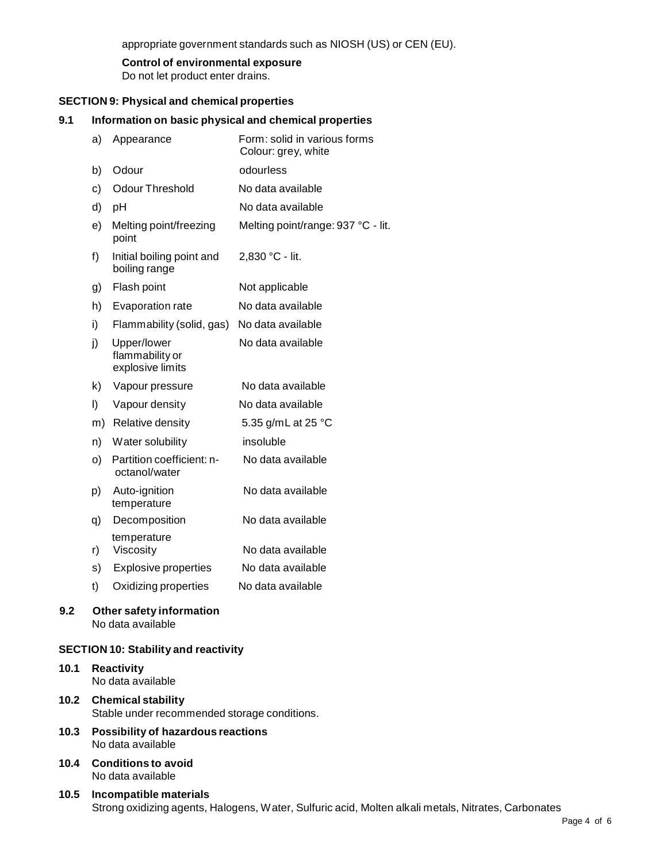appropriate government standards such as NIOSH (US) or CEN (EU).

# **Control of environmental exposure**

Do not let product enter drains.

# **SECTION 9: Physical and chemical properties**

# **9.1 Information on basic physical and chemical properties**

| a)                       | Appearance                                         | Form: solid in various forms<br>Colour: grey, white |  |  |
|--------------------------|----------------------------------------------------|-----------------------------------------------------|--|--|
| b)                       | Odour                                              | odourless                                           |  |  |
| c)                       | <b>Odour Threshold</b>                             | No data available                                   |  |  |
| d)                       | pH                                                 | No data available                                   |  |  |
| e)                       | Melting point/freezing<br>point                    | Melting point/range: 937 °C - lit.                  |  |  |
| f)                       | Initial boiling point and<br>boiling range         | 2,830 °C - lit.                                     |  |  |
| g)                       | Flash point                                        | Not applicable                                      |  |  |
| h)                       | Evaporation rate                                   | No data available                                   |  |  |
| i)                       | Flammability (solid, gas)                          | No data available                                   |  |  |
| j)                       | Upper/lower<br>flammability or<br>explosive limits | No data available                                   |  |  |
| k)                       | Vapour pressure                                    | No data available                                   |  |  |
| I)                       | Vapour density                                     | No data available                                   |  |  |
| m)                       | Relative density                                   | 5.35 g/mL at 25 °C                                  |  |  |
| n)                       | Water solubility                                   | insoluble                                           |  |  |
| o)                       | Partition coefficient: n-<br>octanol/water         | No data available                                   |  |  |
| p)                       | Auto-ignition<br>temperature                       | No data available                                   |  |  |
| q)                       | Decomposition                                      | No data available                                   |  |  |
| r)                       | temperature<br>Viscosity                           | No data available                                   |  |  |
| s)                       | Explosive properties                               | No data available                                   |  |  |
| t)                       | Oxidizing properties                               | No data available                                   |  |  |
| Othor esfaty information |                                                    |                                                     |  |  |

# **9.2 Other safety information** No data available

# **SECTION 10: Stability and reactivity**

# **10.1 Reactivity**

- No data available
- **10.2 Chemical stability** Stable under recommended storage conditions.
- **10.3 Possibility of hazardous reactions** No data available
- **10.4 Conditions to avoid** No data available
- **10.5 Incompatible materials** Strong oxidizing agents, Halogens, Water, Sulfuric acid, Molten alkali metals, Nitrates, Carbonates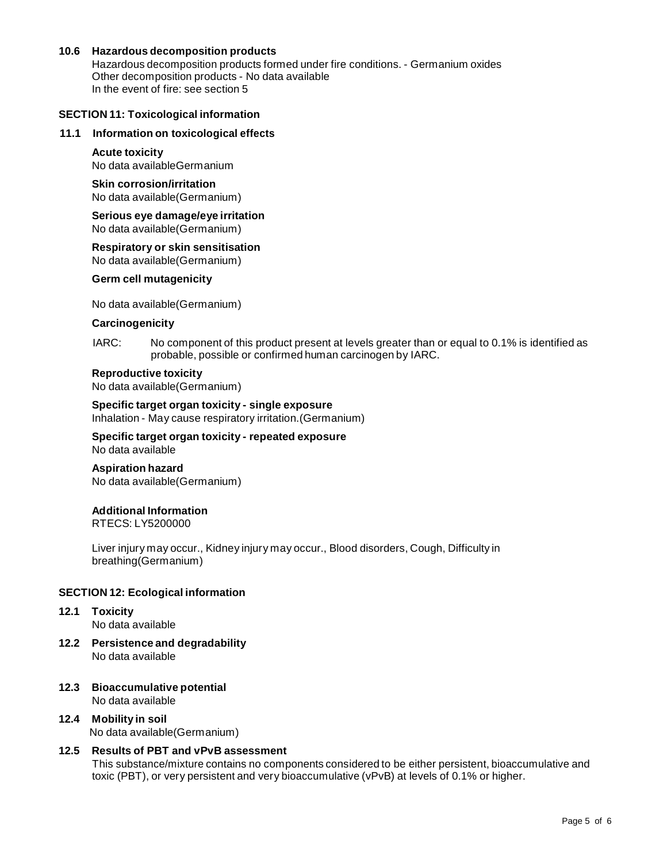# **10.6 Hazardous decomposition products**

Hazardous decomposition products formed under fire conditions. - Germanium oxides Other decomposition products - No data available In the event of fire: see section 5

## **SECTION 11: Toxicological information**

# **11.1 Information on toxicological effects**

# **Acute toxicity**

No data availableGermanium

#### **Skin corrosion/irritation** No data available(Germanium)

# **Serious eye damage/eye irritation** No data available(Germanium)

**Respiratory orskin sensitisation** No data available(Germanium)

# **Germ cell mutagenicity**

No data available(Germanium)

## **Carcinogenicity**

#### IARC: No component of this product present at levels greater than or equal to 0.1% is identified as probable, possible or confirmed human carcinogen by IARC.

# **Reproductive toxicity**

No data available(Germanium)

**Specific target organ toxicity - single exposure** Inhalation - May cause respiratory irritation.(Germanium)

**Specific target organ toxicity - repeated exposure** No data available

**Aspiration hazard** No data available(Germanium)

# **Additional Information**

RTECS: LY5200000

Liver injury may occur., Kidney injury may occur., Blood disorders, Cough, Difficulty in breathing(Germanium)

# **SECTION 12: Ecological information**

- **12.1 Toxicity** No data available
- **12.2 Persistence and degradability** No data available
- **12.3 Bioaccumulative potential** No data available
- **12.4 Mobility in soil** No data available(Germanium)

# **12.5 Results of PBT and vPvB assessment**

This substance/mixture contains no components considered to be either persistent, bioaccumulative and toxic (PBT), or very persistent and very bioaccumulative (vPvB) at levels of 0.1% or higher.